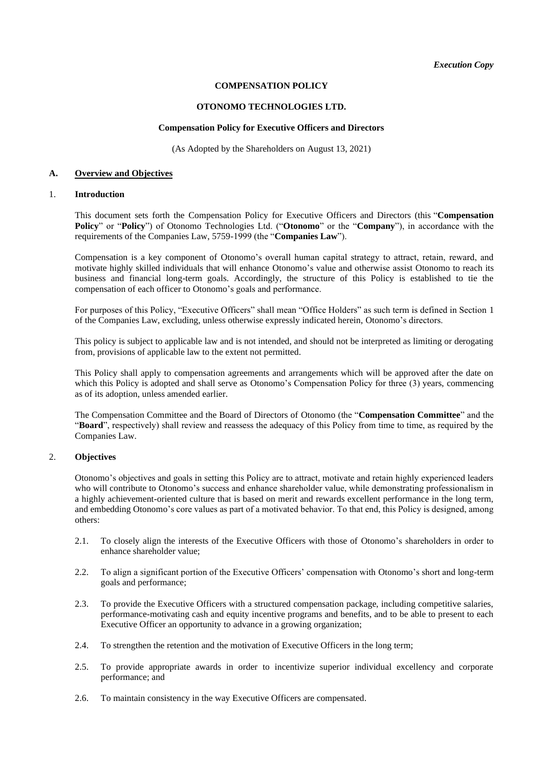# **COMPENSATION POLICY**

### **OTONOMO TECHNOLOGIES LTD.**

### **Compensation Policy for Executive Officers and Directors**

(As Adopted by the Shareholders on August 13, 2021)

### **A. Overview and Objectives**

## 1. **Introduction**

This document sets forth the Compensation Policy for Executive Officers and Directors (this "**Compensation Policy**" or "**Policy**") of Otonomo Technologies Ltd. ("**Otonomo**" or the "**Company**"), in accordance with the requirements of the Companies Law, 5759-1999 (the "**Companies Law**").

Compensation is a key component of Otonomo's overall human capital strategy to attract, retain, reward, and motivate highly skilled individuals that will enhance Otonomo's value and otherwise assist Otonomo to reach its business and financial long-term goals. Accordingly, the structure of this Policy is established to tie the compensation of each officer to Otonomo's goals and performance.

For purposes of this Policy, "Executive Officers" shall mean "Office Holders" as such term is defined in Section 1 of the Companies Law, excluding, unless otherwise expressly indicated herein, Otonomo's directors.

This policy is subject to applicable law and is not intended, and should not be interpreted as limiting or derogating from, provisions of applicable law to the extent not permitted.

This Policy shall apply to compensation agreements and arrangements which will be approved after the date on which this Policy is adopted and shall serve as Otonomo's Compensation Policy for three (3) years, commencing as of its adoption, unless amended earlier.

The Compensation Committee and the Board of Directors of Otonomo (the "**Compensation Committee**" and the "**Board**", respectively) shall review and reassess the adequacy of this Policy from time to time, as required by the Companies Law.

# 2. **Objectives**

Otonomo's objectives and goals in setting this Policy are to attract, motivate and retain highly experienced leaders who will contribute to Otonomo's success and enhance shareholder value, while demonstrating professionalism in a highly achievement-oriented culture that is based on merit and rewards excellent performance in the long term, and embedding Otonomo's core values as part of a motivated behavior. To that end, this Policy is designed, among others:

- 2.1. To closely align the interests of the Executive Officers with those of Otonomo's shareholders in order to enhance shareholder value;
- 2.2. To align a significant portion of the Executive Officers' compensation with Otonomo's short and long-term goals and performance;
- 2.3. To provide the Executive Officers with a structured compensation package, including competitive salaries, performance-motivating cash and equity incentive programs and benefits, and to be able to present to each Executive Officer an opportunity to advance in a growing organization;
- 2.4. To strengthen the retention and the motivation of Executive Officers in the long term;
- 2.5. To provide appropriate awards in order to incentivize superior individual excellency and corporate performance; and
- 2.6. To maintain consistency in the way Executive Officers are compensated.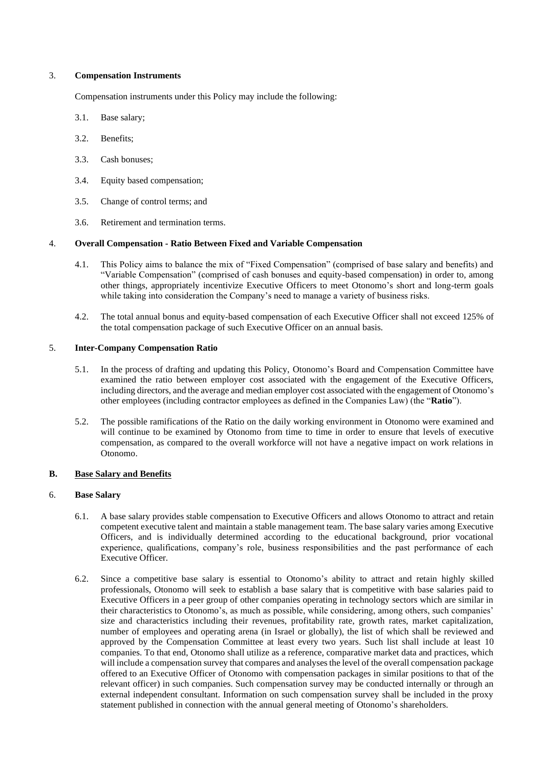### 3. **Compensation Instruments**

Compensation instruments under this Policy may include the following:

- 3.1. Base salary;
- 3.2. Benefits;
- 3.3. Cash bonuses;
- 3.4. Equity based compensation;
- 3.5. Change of control terms; and
- 3.6. Retirement and termination terms.

### 4. **Overall Compensation - Ratio Between Fixed and Variable Compensation**

- 4.1. This Policy aims to balance the mix of "Fixed Compensation" (comprised of base salary and benefits) and "Variable Compensation" (comprised of cash bonuses and equity-based compensation) in order to, among other things, appropriately incentivize Executive Officers to meet Otonomo's short and long-term goals while taking into consideration the Company's need to manage a variety of business risks.
- 4.2. The total annual bonus and equity-based compensation of each Executive Officer shall not exceed 125% of the total compensation package of such Executive Officer on an annual basis.

### 5. **Inter-Company Compensation Ratio**

- 5.1. In the process of drafting and updating this Policy, Otonomo's Board and Compensation Committee have examined the ratio between employer cost associated with the engagement of the Executive Officers, including directors, and the average and median employer cost associated with the engagement of Otonomo's other employees (including contractor employees as defined in the Companies Law) (the "**Ratio**").
- 5.2. The possible ramifications of the Ratio on the daily working environment in Otonomo were examined and will continue to be examined by Otonomo from time to time in order to ensure that levels of executive compensation, as compared to the overall workforce will not have a negative impact on work relations in Otonomo.

#### **B. Base Salary and Benefits**

### 6. **Base Salary**

- 6.1. A base salary provides stable compensation to Executive Officers and allows Otonomo to attract and retain competent executive talent and maintain a stable management team. The base salary varies among Executive Officers, and is individually determined according to the educational background, prior vocational experience, qualifications, company's role, business responsibilities and the past performance of each Executive Officer.
- 6.2. Since a competitive base salary is essential to Otonomo's ability to attract and retain highly skilled professionals, Otonomo will seek to establish a base salary that is competitive with base salaries paid to Executive Officers in a peer group of other companies operating in technology sectors which are similar in their characteristics to Otonomo's, as much as possible, while considering, among others, such companies' size and characteristics including their revenues, profitability rate, growth rates, market capitalization, number of employees and operating arena (in Israel or globally), the list of which shall be reviewed and approved by the Compensation Committee at least every two years. Such list shall include at least 10 companies. To that end, Otonomo shall utilize as a reference, comparative market data and practices, which will include a compensation survey that compares and analyses the level of the overall compensation package offered to an Executive Officer of Otonomo with compensation packages in similar positions to that of the relevant officer) in such companies. Such compensation survey may be conducted internally or through an external independent consultant. Information on such compensation survey shall be included in the proxy statement published in connection with the annual general meeting of Otonomo's shareholders.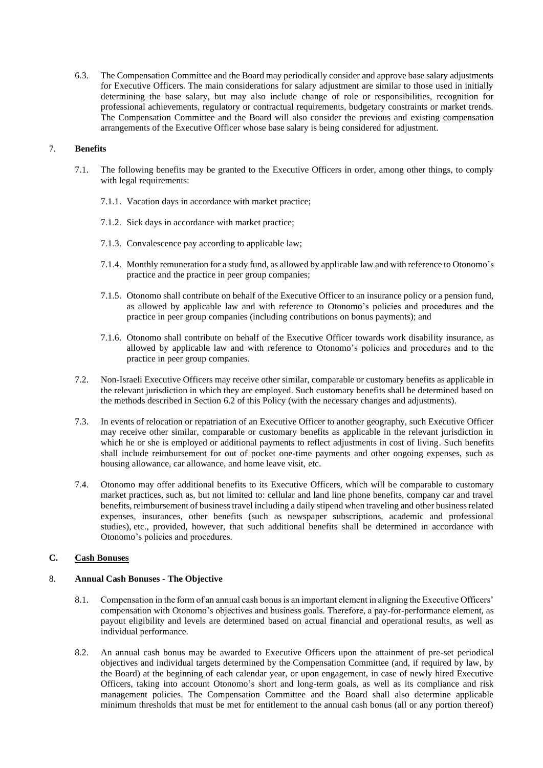6.3. The Compensation Committee and the Board may periodically consider and approve base salary adjustments for Executive Officers. The main considerations for salary adjustment are similar to those used in initially determining the base salary, but may also include change of role or responsibilities, recognition for professional achievements, regulatory or contractual requirements, budgetary constraints or market trends. The Compensation Committee and the Board will also consider the previous and existing compensation arrangements of the Executive Officer whose base salary is being considered for adjustment.

## 7. **Benefits**

- 7.1. The following benefits may be granted to the Executive Officers in order, among other things, to comply with legal requirements:
	- 7.1.1. Vacation days in accordance with market practice;
	- 7.1.2. Sick days in accordance with market practice;
	- 7.1.3. Convalescence pay according to applicable law;
	- 7.1.4. Monthly remuneration for a study fund, as allowed by applicable law and with reference to Otonomo's practice and the practice in peer group companies;
	- 7.1.5. Otonomo shall contribute on behalf of the Executive Officer to an insurance policy or a pension fund, as allowed by applicable law and with reference to Otonomo's policies and procedures and the practice in peer group companies (including contributions on bonus payments); and
	- 7.1.6. Otonomo shall contribute on behalf of the Executive Officer towards work disability insurance, as allowed by applicable law and with reference to Otonomo's policies and procedures and to the practice in peer group companies.
- 7.2. Non-Israeli Executive Officers may receive other similar, comparable or customary benefits as applicable in the relevant jurisdiction in which they are employed. Such customary benefits shall be determined based on the methods described in Section 6.2 of this Policy (with the necessary changes and adjustments).
- 7.3. In events of relocation or repatriation of an Executive Officer to another geography, such Executive Officer may receive other similar, comparable or customary benefits as applicable in the relevant jurisdiction in which he or she is employed or additional payments to reflect adjustments in cost of living. Such benefits shall include reimbursement for out of pocket one-time payments and other ongoing expenses, such as housing allowance, car allowance, and home leave visit, etc.
- 7.4. Otonomo may offer additional benefits to its Executive Officers, which will be comparable to customary market practices, such as, but not limited to: cellular and land line phone benefits, company car and travel benefits, reimbursement of business travel including a daily stipend when traveling and other business related expenses, insurances, other benefits (such as newspaper subscriptions, academic and professional studies), etc., provided, however, that such additional benefits shall be determined in accordance with Otonomo's policies and procedures.

# **C. Cash Bonuses**

### 8. **Annual Cash Bonuses - The Objective**

- 8.1. Compensation in the form of an annual cash bonus is an important element in aligning the Executive Officers' compensation with Otonomo's objectives and business goals. Therefore, a pay-for-performance element, as payout eligibility and levels are determined based on actual financial and operational results, as well as individual performance.
- 8.2. An annual cash bonus may be awarded to Executive Officers upon the attainment of pre-set periodical objectives and individual targets determined by the Compensation Committee (and, if required by law, by the Board) at the beginning of each calendar year, or upon engagement, in case of newly hired Executive Officers, taking into account Otonomo's short and long-term goals, as well as its compliance and risk management policies. The Compensation Committee and the Board shall also determine applicable minimum thresholds that must be met for entitlement to the annual cash bonus (all or any portion thereof)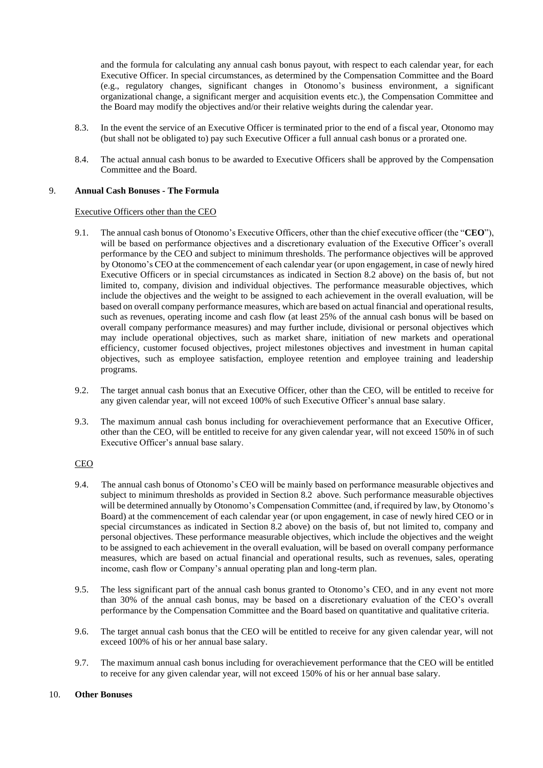and the formula for calculating any annual cash bonus payout, with respect to each calendar year, for each Executive Officer. In special circumstances, as determined by the Compensation Committee and the Board (e.g., regulatory changes, significant changes in Otonomo's business environment, a significant organizational change, a significant merger and acquisition events etc.), the Compensation Committee and the Board may modify the objectives and/or their relative weights during the calendar year.

- 8.3. In the event the service of an Executive Officer is terminated prior to the end of a fiscal year, Otonomo may (but shall not be obligated to) pay such Executive Officer a full annual cash bonus or a prorated one.
- 8.4. The actual annual cash bonus to be awarded to Executive Officers shall be approved by the Compensation Committee and the Board.

### 9. **Annual Cash Bonuses - The Formula**

### Executive Officers other than the CEO

- 9.1. The annual cash bonus of Otonomo's Executive Officers, other than the chief executive officer (the "**CEO**"), will be based on performance objectives and a discretionary evaluation of the Executive Officer's overall performance by the CEO and subject to minimum thresholds. The performance objectives will be approved by Otonomo's CEO at the commencement of each calendar year (or upon engagement, in case of newly hired Executive Officers or in special circumstances as indicated in Section 8.2 above) on the basis of, but not limited to, company, division and individual objectives. The performance measurable objectives, which include the objectives and the weight to be assigned to each achievement in the overall evaluation, will be based on overall company performance measures, which are based on actual financial and operational results, such as revenues, operating income and cash flow (at least 25% of the annual cash bonus will be based on overall company performance measures) and may further include, divisional or personal objectives which may include operational objectives, such as market share, initiation of new markets and operational efficiency, customer focused objectives, project milestones objectives and investment in human capital objectives, such as employee satisfaction, employee retention and employee training and leadership programs.
- 9.2. The target annual cash bonus that an Executive Officer, other than the CEO, will be entitled to receive for any given calendar year, will not exceed 100% of such Executive Officer's annual base salary.
- 9.3. The maximum annual cash bonus including for overachievement performance that an Executive Officer, other than the CEO, will be entitled to receive for any given calendar year, will not exceed 150% in of such Executive Officer's annual base salary.

# CEO

- 9.4. The annual cash bonus of Otonomo's CEO will be mainly based on performance measurable objectives and subject to minimum thresholds as provided in Section 8.2 above. Such performance measurable objectives will be determined annually by Otonomo's Compensation Committee (and, if required by law, by Otonomo's Board) at the commencement of each calendar year (or upon engagement, in case of newly hired CEO or in special circumstances as indicated in Section 8.2 above) on the basis of, but not limited to, company and personal objectives. These performance measurable objectives, which include the objectives and the weight to be assigned to each achievement in the overall evaluation, will be based on overall company performance measures, which are based on actual financial and operational results, such as revenues, sales, operating income, cash flow or Company's annual operating plan and long-term plan.
- 9.5. The less significant part of the annual cash bonus granted to Otonomo's CEO, and in any event not more than 30% of the annual cash bonus, may be based on a discretionary evaluation of the CEO's overall performance by the Compensation Committee and the Board based on quantitative and qualitative criteria.
- 9.6. The target annual cash bonus that the CEO will be entitled to receive for any given calendar year, will not exceed 100% of his or her annual base salary.
- 9.7. The maximum annual cash bonus including for overachievement performance that the CEO will be entitled to receive for any given calendar year, will not exceed 150% of his or her annual base salary.

#### 10. **Other Bonuses**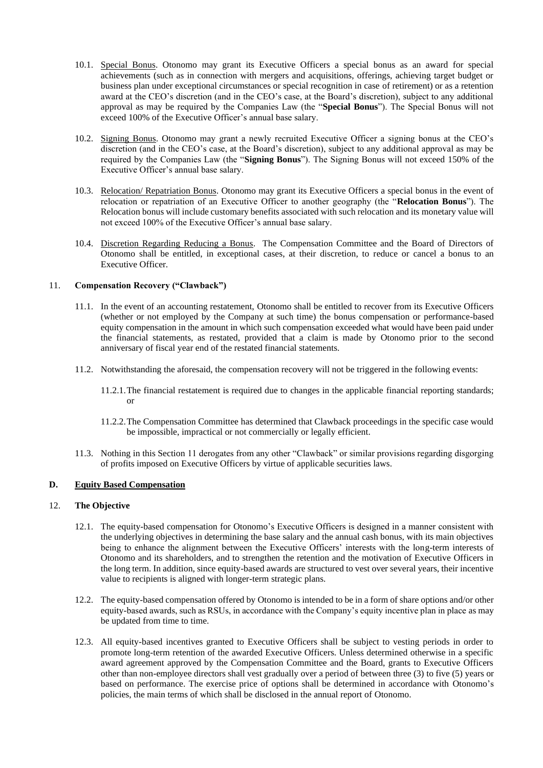- 10.1. Special Bonus. Otonomo may grant its Executive Officers a special bonus as an award for special achievements (such as in connection with mergers and acquisitions, offerings, achieving target budget or business plan under exceptional circumstances or special recognition in case of retirement) or as a retention award at the CEO's discretion (and in the CEO's case, at the Board's discretion), subject to any additional approval as may be required by the Companies Law (the "**Special Bonus**"). The Special Bonus will not exceed 100% of the Executive Officer's annual base salary.
- 10.2. Signing Bonus. Otonomo may grant a newly recruited Executive Officer a signing bonus at the CEO's discretion (and in the CEO's case, at the Board's discretion), subject to any additional approval as may be required by the Companies Law (the "**Signing Bonus**"). The Signing Bonus will not exceed 150% of the Executive Officer's annual base salary.
- 10.3. Relocation/ Repatriation Bonus. Otonomo may grant its Executive Officers a special bonus in the event of relocation or repatriation of an Executive Officer to another geography (the "**Relocation Bonus**"). The Relocation bonus will include customary benefits associated with such relocation and its monetary value will not exceed 100% of the Executive Officer's annual base salary.
- 10.4. Discretion Regarding Reducing a Bonus. The Compensation Committee and the Board of Directors of Otonomo shall be entitled, in exceptional cases, at their discretion, to reduce or cancel a bonus to an Executive Officer.

# 11. **Compensation Recovery ("Clawback")**

- 11.1. In the event of an accounting restatement, Otonomo shall be entitled to recover from its Executive Officers (whether or not employed by the Company at such time) the bonus compensation or performance-based equity compensation in the amount in which such compensation exceeded what would have been paid under the financial statements, as restated, provided that a claim is made by Otonomo prior to the second anniversary of fiscal year end of the restated financial statements.
- 11.2. Notwithstanding the aforesaid, the compensation recovery will not be triggered in the following events:
	- 11.2.1.The financial restatement is required due to changes in the applicable financial reporting standards; or
	- 11.2.2.The Compensation Committee has determined that Clawback proceedings in the specific case would be impossible, impractical or not commercially or legally efficient.
- 11.3. Nothing in this Section 11 derogates from any other "Clawback" or similar provisions regarding disgorging of profits imposed on Executive Officers by virtue of applicable securities laws.

# **D. Equity Based Compensation**

# 12. **The Objective**

- 12.1. The equity-based compensation for Otonomo's Executive Officers is designed in a manner consistent with the underlying objectives in determining the base salary and the annual cash bonus, with its main objectives being to enhance the alignment between the Executive Officers' interests with the long-term interests of Otonomo and its shareholders, and to strengthen the retention and the motivation of Executive Officers in the long term. In addition, since equity-based awards are structured to vest over several years, their incentive value to recipients is aligned with longer-term strategic plans.
- 12.2. The equity-based compensation offered by Otonomo is intended to be in a form of share options and/or other equity-based awards, such as RSUs, in accordance with the Company's equity incentive plan in place as may be updated from time to time.
- 12.3. All equity-based incentives granted to Executive Officers shall be subject to vesting periods in order to promote long-term retention of the awarded Executive Officers. Unless determined otherwise in a specific award agreement approved by the Compensation Committee and the Board, grants to Executive Officers other than non-employee directors shall vest gradually over a period of between three (3) to five (5) years or based on performance. The exercise price of options shall be determined in accordance with Otonomo's policies, the main terms of which shall be disclosed in the annual report of Otonomo.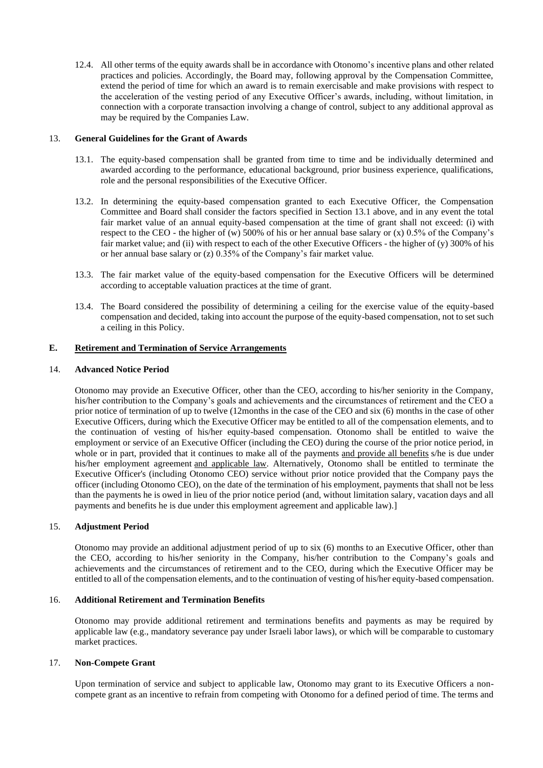12.4. All other terms of the equity awards shall be in accordance with Otonomo's incentive plans and other related practices and policies. Accordingly, the Board may, following approval by the Compensation Committee, extend the period of time for which an award is to remain exercisable and make provisions with respect to the acceleration of the vesting period of any Executive Officer's awards, including, without limitation, in connection with a corporate transaction involving a change of control, subject to any additional approval as may be required by the Companies Law.

## 13. **General Guidelines for the Grant of Awards**

- 13.1. The equity-based compensation shall be granted from time to time and be individually determined and awarded according to the performance, educational background, prior business experience, qualifications, role and the personal responsibilities of the Executive Officer.
- 13.2. In determining the equity-based compensation granted to each Executive Officer, the Compensation Committee and Board shall consider the factors specified in Section 13.1 above, and in any event the total fair market value of an annual equity-based compensation at the time of grant shall not exceed: (i) with respect to the CEO - the higher of (w) 500% of his or her annual base salary or (x) 0.5% of the Company's fair market value; and (ii) with respect to each of the other Executive Officers - the higher of (y) 300% of his or her annual base salary or (z) 0.35% of the Company's fair market value.
- 13.3. The fair market value of the equity-based compensation for the Executive Officers will be determined according to acceptable valuation practices at the time of grant.
- 13.4. The Board considered the possibility of determining a ceiling for the exercise value of the equity-based compensation and decided, taking into account the purpose of the equity-based compensation, not to set such a ceiling in this Policy.

### **E. Retirement and Termination of Service Arrangements**

### 14. **Advanced Notice Period**

Otonomo may provide an Executive Officer, other than the CEO, according to his/her seniority in the Company, his/her contribution to the Company's goals and achievements and the circumstances of retirement and the CEO a prior notice of termination of up to twelve (12months in the case of the CEO and six (6) months in the case of other Executive Officers, during which the Executive Officer may be entitled to all of the compensation elements, and to the continuation of vesting of his/her equity-based compensation. Otonomo shall be entitled to waive the employment or service of an Executive Officer (including the CEO) during the course of the prior notice period, in whole or in part, provided that it continues to make all of the payments and provide all benefits s/he is due under his/her employment agreement and applicable law. Alternatively, Otonomo shall be entitled to terminate the Executive Officer's (including Otonomo CEO) service without prior notice provided that the Company pays the officer (including Otonomo CEO), on the date of the termination of his employment, payments that shall not be less than the payments he is owed in lieu of the prior notice period (and, without limitation salary, vacation days and all payments and benefits he is due under this employment agreement and applicable law).]

## 15. **Adjustment Period**

Otonomo may provide an additional adjustment period of up to six (6) months to an Executive Officer, other than the CEO, according to his/her seniority in the Company, his/her contribution to the Company's goals and achievements and the circumstances of retirement and to the CEO, during which the Executive Officer may be entitled to all of the compensation elements, and to the continuation of vesting of his/her equity-based compensation.

## 16. **Additional Retirement and Termination Benefits**

Otonomo may provide additional retirement and terminations benefits and payments as may be required by applicable law (e.g., mandatory severance pay under Israeli labor laws), or which will be comparable to customary market practices.

### 17. **Non-Compete Grant**

Upon termination of service and subject to applicable law, Otonomo may grant to its Executive Officers a noncompete grant as an incentive to refrain from competing with Otonomo for a defined period of time. The terms and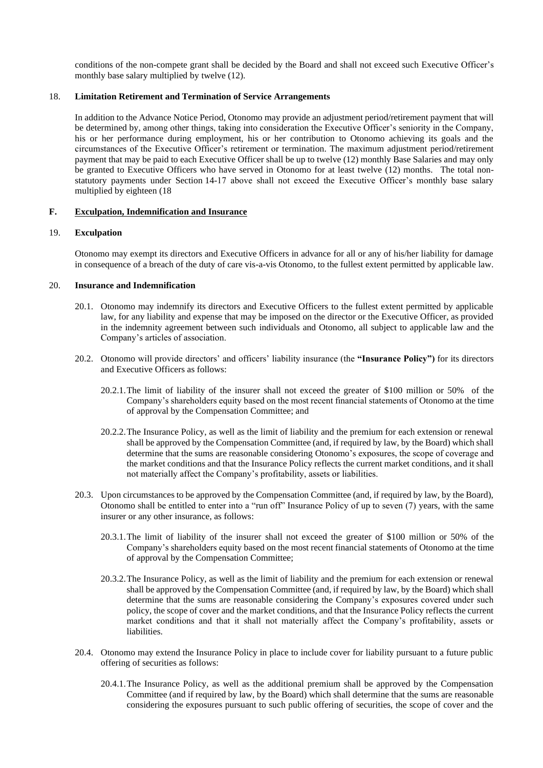conditions of the non-compete grant shall be decided by the Board and shall not exceed such Executive Officer's monthly base salary multiplied by twelve (12).

## 18. **Limitation Retirement and Termination of Service Arrangements**

In addition to the Advance Notice Period, Otonomo may provide an adjustment period/retirement payment that will be determined by, among other things, taking into consideration the Executive Officer's seniority in the Company, his or her performance during employment, his or her contribution to Otonomo achieving its goals and the circumstances of the Executive Officer's retirement or termination. The maximum adjustment period/retirement payment that may be paid to each Executive Officer shall be up to twelve (12) monthly Base Salaries and may only be granted to Executive Officers who have served in Otonomo for at least twelve (12) months. The total nonstatutory payments under Section 14-17 above shall not exceed the Executive Officer's monthly base salary multiplied by eighteen (18

### **F. Exculpation, Indemnification and Insurance**

### 19. **Exculpation**

Otonomo may exempt its directors and Executive Officers in advance for all or any of his/her liability for damage in consequence of a breach of the duty of care vis-a-vis Otonomo, to the fullest extent permitted by applicable law.

### 20. **Insurance and Indemnification**

- 20.1. Otonomo may indemnify its directors and Executive Officers to the fullest extent permitted by applicable law, for any liability and expense that may be imposed on the director or the Executive Officer, as provided in the indemnity agreement between such individuals and Otonomo, all subject to applicable law and the Company's articles of association.
- 20.2. Otonomo will provide directors' and officers' liability insurance (the **"Insurance Policy")** for its directors and Executive Officers as follows:
	- 20.2.1.The limit of liability of the insurer shall not exceed the greater of \$100 million or 50% of the Company's shareholders equity based on the most recent financial statements of Otonomo at the time of approval by the Compensation Committee; and
	- 20.2.2.The Insurance Policy, as well as the limit of liability and the premium for each extension or renewal shall be approved by the Compensation Committee (and, if required by law, by the Board) which shall determine that the sums are reasonable considering Otonomo's exposures, the scope of coverage and the market conditions and that the Insurance Policy reflects the current market conditions, and it shall not materially affect the Company's profitability, assets or liabilities.
- 20.3. Upon circumstances to be approved by the Compensation Committee (and, if required by law, by the Board), Otonomo shall be entitled to enter into a "run off" Insurance Policy of up to seven (7) years, with the same insurer or any other insurance, as follows:
	- 20.3.1.The limit of liability of the insurer shall not exceed the greater of \$100 million or 50% of the Company's shareholders equity based on the most recent financial statements of Otonomo at the time of approval by the Compensation Committee;
	- 20.3.2.The Insurance Policy, as well as the limit of liability and the premium for each extension or renewal shall be approved by the Compensation Committee (and, if required by law, by the Board) which shall determine that the sums are reasonable considering the Company's exposures covered under such policy, the scope of cover and the market conditions, and that the Insurance Policy reflects the current market conditions and that it shall not materially affect the Company's profitability, assets or liabilities.
- 20.4. Otonomo may extend the Insurance Policy in place to include cover for liability pursuant to a future public offering of securities as follows:
	- 20.4.1.The Insurance Policy, as well as the additional premium shall be approved by the Compensation Committee (and if required by law, by the Board) which shall determine that the sums are reasonable considering the exposures pursuant to such public offering of securities, the scope of cover and the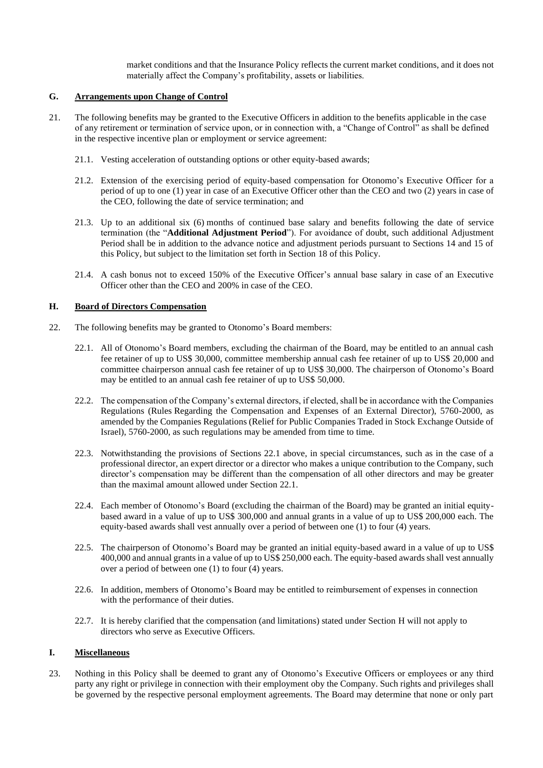market conditions and that the Insurance Policy reflects the current market conditions, and it does not materially affect the Company's profitability, assets or liabilities.

## **G. Arrangements upon Change of Control**

- 21. The following benefits may be granted to the Executive Officers in addition to the benefits applicable in the case of any retirement or termination of service upon, or in connection with, a "Change of Control" as shall be defined in the respective incentive plan or employment or service agreement:
	- 21.1. Vesting acceleration of outstanding options or other equity-based awards;
	- 21.2. Extension of the exercising period of equity-based compensation for Otonomo's Executive Officer for a period of up to one (1) year in case of an Executive Officer other than the CEO and two (2) years in case of the CEO, following the date of service termination; and
	- 21.3. Up to an additional six (6) months of continued base salary and benefits following the date of service termination (the "**Additional Adjustment Period**"). For avoidance of doubt, such additional Adjustment Period shall be in addition to the advance notice and adjustment periods pursuant to Sections 14 and 15 of this Policy, but subject to the limitation set forth in Section 18 of this Policy.
	- 21.4. A cash bonus not to exceed 150% of the Executive Officer's annual base salary in case of an Executive Officer other than the CEO and 200% in case of the CEO.

## **H. Board of Directors Compensation**

- 22. The following benefits may be granted to Otonomo's Board members:
	- 22.1. All of Otonomo's Board members, excluding the chairman of the Board, may be entitled to an annual cash fee retainer of up to US\$ 30,000, committee membership annual cash fee retainer of up to US\$ 20,000 and committee chairperson annual cash fee retainer of up to US\$ 30,000. The chairperson of Otonomo's Board may be entitled to an annual cash fee retainer of up to US\$ 50,000.
	- 22.2. The compensation of the Company's external directors, if elected, shall be in accordance with the Companies Regulations (Rules Regarding the Compensation and Expenses of an External Director), 5760-2000, as amended by the Companies Regulations (Relief for Public Companies Traded in Stock Exchange Outside of Israel), 5760-2000, as such regulations may be amended from time to time.
	- 22.3. Notwithstanding the provisions of Sections 22.1 above, in special circumstances, such as in the case of a professional director, an expert director or a director who makes a unique contribution to the Company, such director's compensation may be different than the compensation of all other directors and may be greater than the maximal amount allowed under Section 22.1.
	- 22.4. Each member of Otonomo's Board (excluding the chairman of the Board) may be granted an initial equitybased award in a value of up to US\$ 300,000 and annual grants in a value of up to US\$ 200,000 each. The equity-based awards shall vest annually over a period of between one (1) to four (4) years.
	- 22.5. The chairperson of Otonomo's Board may be granted an initial equity-based award in a value of up to US\$ 400,000 and annual grants in a value of up to US\$ 250,000 each. The equity-based awards shall vest annually over a period of between one (1) to four (4) years.
	- 22.6. In addition, members of Otonomo's Board may be entitled to reimbursement of expenses in connection with the performance of their duties.
	- 22.7. It is hereby clarified that the compensation (and limitations) stated under Section H will not apply to directors who serve as Executive Officers.

# **I. Miscellaneous**

23. Nothing in this Policy shall be deemed to grant any of Otonomo's Executive Officers or employees or any third party any right or privilege in connection with their employment oby the Company. Such rights and privileges shall be governed by the respective personal employment agreements. The Board may determine that none or only part